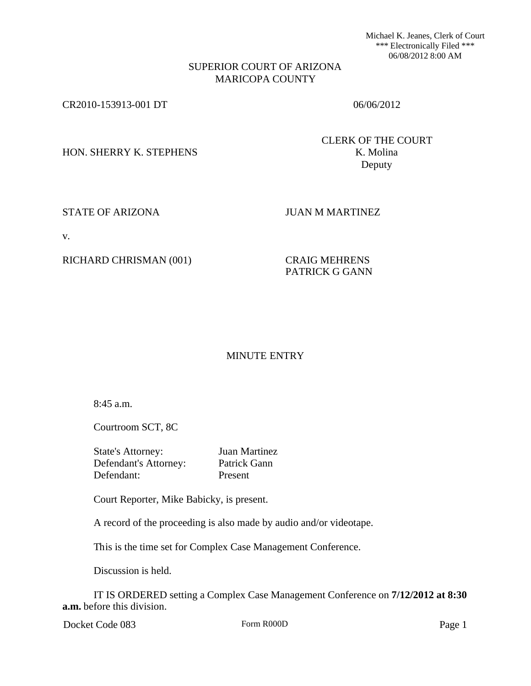Michael K. Jeanes, Clerk of Court \*\*\* Electronically Filed \*\*\* 06/08/2012 8:00 AM

## SUPERIOR COURT OF ARIZONA MARICOPA COUNTY

CR2010-153913-001 DT 06/06/2012

HON. SHERRY K. STEPHENS K. Molina

CLERK OF THE COURT Deputy

STATE OF ARIZONA JUAN M MARTINEZ

v.

RICHARD CHRISMAN (001) CRAIG MEHRENS

PATRICK G GANN

## MINUTE ENTRY

8:45 a.m.

Courtroom SCT, 8C

State's Attorney: Juan Martinez Defendant's Attorney: Patrick Gann Defendant: Present

Court Reporter, Mike Babicky, is present.

A record of the proceeding is also made by audio and/or videotape.

This is the time set for Complex Case Management Conference.

Discussion is held.

IT IS ORDERED setting a Complex Case Management Conference on **7/12/2012 at 8:30 a.m.** before this division.

Docket Code 083 Form R000D Form R000D Page 1